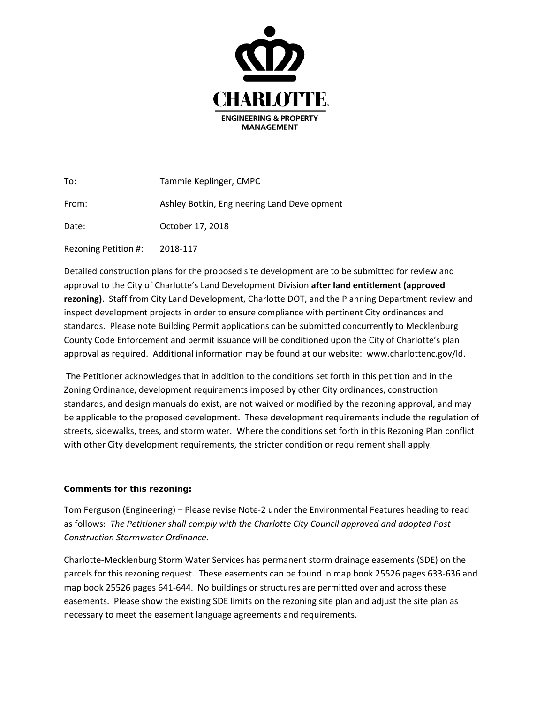

| To:                  | Tammie Keplinger, CMPC                      |
|----------------------|---------------------------------------------|
| From:                | Ashley Botkin, Engineering Land Development |
| Date:                | October 17, 2018                            |
| Rezoning Petition #: | 2018-117                                    |

Detailed construction plans for the proposed site development are to be submitted for review and approval to the City of Charlotte's Land Development Division **after land entitlement (approved rezoning)**. Staff from City Land Development, Charlotte DOT, and the Planning Department review and inspect development projects in order to ensure compliance with pertinent City ordinances and standards. Please note Building Permit applications can be submitted concurrently to Mecklenburg County Code Enforcement and permit issuance will be conditioned upon the City of Charlotte's plan approval as required. Additional information may be found at our website: www.charlottenc.gov/ld.

The Petitioner acknowledges that in addition to the conditions set forth in this petition and in the Zoning Ordinance, development requirements imposed by other City ordinances, construction standards, and design manuals do exist, are not waived or modified by the rezoning approval, and may be applicable to the proposed development. These development requirements include the regulation of streets, sidewalks, trees, and storm water. Where the conditions set forth in this Rezoning Plan conflict with other City development requirements, the stricter condition or requirement shall apply.

## **Comments for this rezoning:**

Tom Ferguson (Engineering) – Please revise Note-2 under the Environmental Features heading to read as follows: *The Petitioner shall comply with the Charlotte City Council approved and adopted Post Construction Stormwater Ordinance.*

Charlotte-Mecklenburg Storm Water Services has permanent storm drainage easements (SDE) on the parcels for this rezoning request. These easements can be found in map book 25526 pages 633-636 and map book 25526 pages 641-644. No buildings or structures are permitted over and across these easements. Please show the existing SDE limits on the rezoning site plan and adjust the site plan as necessary to meet the easement language agreements and requirements.